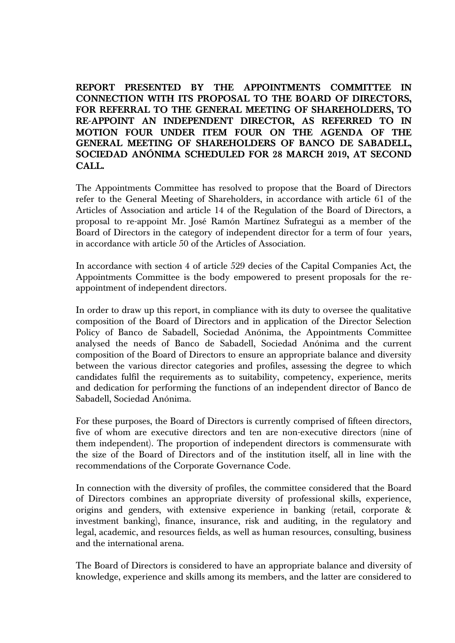**REPORT PRESENTED BY THE APPOINTMENTS COMMITTEE IN CONNECTION WITH ITS PROPOSAL TO THE BOARD OF DIRECTORS, FOR REFERRAL TO THE GENERAL MEETING OF SHAREHOLDERS, TO RE-APPOINT AN INDEPENDENT DIRECTOR, AS REFERRED TO IN MOTION FOUR UNDER ITEM FOUR ON THE AGENDA OF THE GENERAL MEETING OF SHAREHOLDERS OF BANCO DE SABADELL, SOCIEDAD ANÓNIMA SCHEDULED FOR 28 MARCH 2019, AT SECOND CALL.**

The Appointments Committee has resolved to propose that the Board of Directors refer to the General Meeting of Shareholders, in accordance with article 61 of the Articles of Association and article 14 of the Regulation of the Board of Directors, a proposal to re-appoint Mr. José Ramón Martínez Sufrategui as a member of the Board of Directors in the category of independent director for a term of four years, in accordance with article 50 of the Articles of Association.

In accordance with section 4 of article 529 decies of the Capital Companies Act, the Appointments Committee is the body empowered to present proposals for the reappointment of independent directors.

In order to draw up this report, in compliance with its duty to oversee the qualitative composition of the Board of Directors and in application of the Director Selection Policy of Banco de Sabadell, Sociedad Anónima, the Appointments Committee analysed the needs of Banco de Sabadell, Sociedad Anónima and the current composition of the Board of Directors to ensure an appropriate balance and diversity between the various director categories and profiles, assessing the degree to which candidates fulfil the requirements as to suitability, competency, experience, merits and dedication for performing the functions of an independent director of Banco de Sabadell, Sociedad Anónima.

For these purposes, the Board of Directors is currently comprised of fifteen directors, five of whom are executive directors and ten are non-executive directors (nine of them independent). The proportion of independent directors is commensurate with the size of the Board of Directors and of the institution itself, all in line with the recommendations of the Corporate Governance Code.

In connection with the diversity of profiles, the committee considered that the Board of Directors combines an appropriate diversity of professional skills, experience, origins and genders, with extensive experience in banking (retail, corporate & investment banking), finance, insurance, risk and auditing, in the regulatory and legal, academic, and resources fields, as well as human resources, consulting, business and the international arena.

The Board of Directors is considered to have an appropriate balance and diversity of knowledge, experience and skills among its members, and the latter are considered to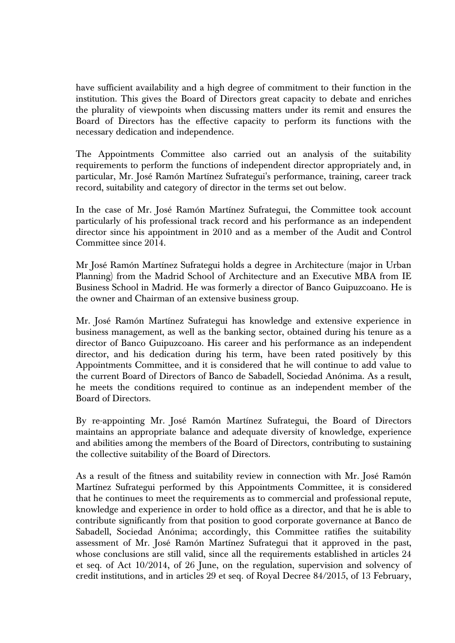have sufficient availability and a high degree of commitment to their function in the institution. This gives the Board of Directors great capacity to debate and enriches the plurality of viewpoints when discussing matters under its remit and ensures the Board of Directors has the effective capacity to perform its functions with the necessary dedication and independence.

The Appointments Committee also carried out an analysis of the suitability requirements to perform the functions of independent director appropriately and, in particular, Mr. José Ramón Martínez Sufrategui's performance, training, career track record, suitability and category of director in the terms set out below.

In the case of Mr. José Ramón Martínez Sufrategui, the Committee took account particularly of his professional track record and his performance as an independent director since his appointment in 2010 and as a member of the Audit and Control Committee since 2014.

Mr José Ramón Martínez Sufrategui holds a degree in Architecture (major in Urban Planning) from the Madrid School of Architecture and an Executive MBA from IE Business School in Madrid. He was formerly a director of Banco Guipuzcoano. He is the owner and Chairman of an extensive business group.

Mr. José Ramón Martínez Sufrategui has knowledge and extensive experience in business management, as well as the banking sector, obtained during his tenure as a director of Banco Guipuzcoano. His career and his performance as an independent director, and his dedication during his term, have been rated positively by this Appointments Committee, and it is considered that he will continue to add value to the current Board of Directors of Banco de Sabadell, Sociedad Anónima. As a result, he meets the conditions required to continue as an independent member of the Board of Directors.

By re-appointing Mr. José Ramón Martínez Sufrategui, the Board of Directors maintains an appropriate balance and adequate diversity of knowledge, experience and abilities among the members of the Board of Directors, contributing to sustaining the collective suitability of the Board of Directors.

As a result of the fitness and suitability review in connection with Mr. José Ramón Martínez Sufrategui performed by this Appointments Committee, it is considered that he continues to meet the requirements as to commercial and professional repute, knowledge and experience in order to hold office as a director, and that he is able to contribute significantly from that position to good corporate governance at Banco de Sabadell, Sociedad Anónima; accordingly, this Committee ratifies the suitability assessment of Mr. José Ramón Martínez Sufrategui that it approved in the past, whose conclusions are still valid, since all the requirements established in articles 24 et seq. of Act 10/2014, of 26 June, on the regulation, supervision and solvency of credit institutions, and in articles 29 et seq. of Royal Decree 84/2015, of 13 February,